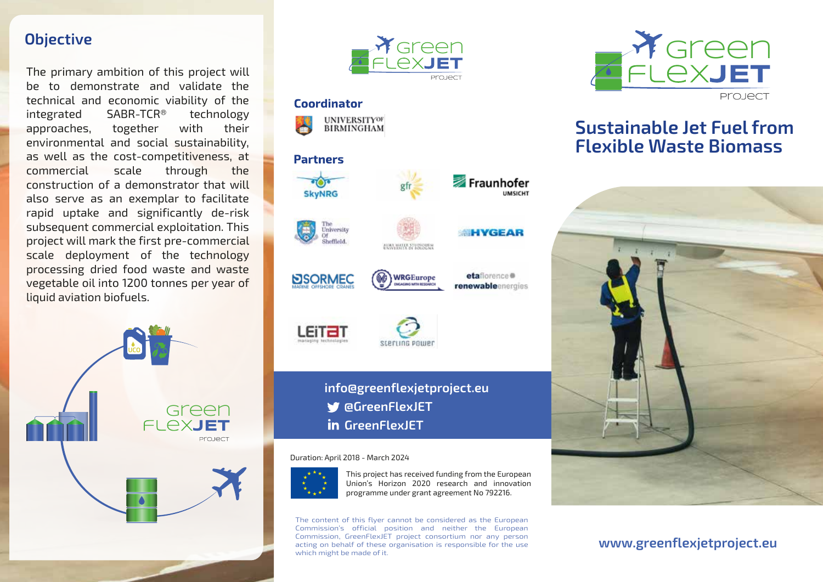#### **Objective**

The primary ambition of this project will be to demonstrate and validate the technical and economic viability of the integrated SABR-TCR® technology approaches, together with their environmental and social sustainability, as well as the cost-competitiveness, at commercial scale through the construction of a demonstrator that will also serve as an exemplar to facilitate rapid uptake and significantly de-risk subsequent commercial exploitation. This project will mark the first pre-commercial scale deployment of the technology processing dried food waste and waste vegetable oil into 1200 tonnes per year of liquid aviation biofuels.





Fraunhofer

**HYGEAR** 

etaflorence @

renewableenergies

**UMSICHT** 

#### Coordinator



# **Partners**





LEITZI







**SEEFLING POWER** 

**LAN MATER STUDIORER** 

### **info@greenflexjetproject.eu @GreenFlexJET in** GreenFlexJET

Duration: April 2018 - March 2024



This project has received funding from the European Union's Horizon 2020 research and innovation programme under grant agreement No 792216.

The content of this flyer cannot be considered as the European Commission's official position and neither the European Commission, GreenFlexJET project consortium nor any person acting on behalf of these organisation is responsible for the use which might be made of it.



## **Sustainable Jet Fuel from Flexible Waste Biomass**



**www.greenflexjetproject.eu**